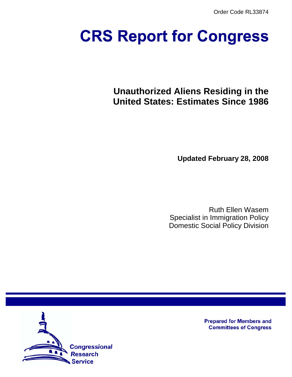Order Code RL33874

# **CRS Report for Congress**

# **Unauthorized Aliens Residing in the United States: Estimates Since 1986**

**Updated February 28, 2008**

Ruth Ellen Wasem Specialist in Immigration Policy Domestic Social Policy Division



**Prepared for Members and Committees of Congress**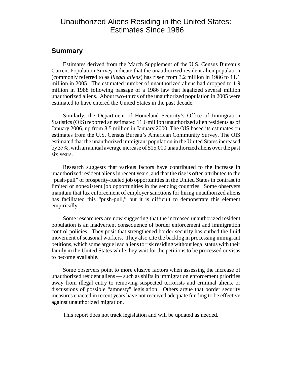### Unauthorized Aliens Residing in the United States: Estimates Since 1986

#### **Summary**

Estimates derived from the March Supplement of the U.S. Census Bureau's Current Population Survey indicate that the unauthorized resident alien population (commonly referred to as *illegal aliens*) has risen from 3.2 million in 1986 to 11.1 million in 2005. The estimated number of unauthorized aliens had dropped to 1.9 million in 1988 following passage of a 1986 law that legalized several million unauthorized aliens. About two-thirds of the unauthorized population in 2005 were estimated to have entered the United States in the past decade.

Similarly, the Department of Homeland Security's Office of Immigration Statistics (OIS) reported an estimated 11.6 million unauthorized alien residents as of January 2006, up from 8.5 million in January 2000. The OIS based its estimates on estimates from the U.S. Census Bureau's American Community Survey. The OIS estimated that the unauthorized immigrant population in the United States increased by 37%, with an annual average increase of 515,000 unauthorized aliens over the past six years.

Research suggests that various factors have contributed to the increase in unauthorized resident aliens in recent years, and that the rise is often attributed to the "push-pull" of prosperity-fueled job opportunities in the United States in contrast to limited or nonexistent job opportunities in the sending countries. Some observers maintain that lax enforcement of employer sanctions for hiring unauthorized aliens has facilitated this "push-pull," but it is difficult to demonstrate this element empirically.

Some researchers are now suggesting that the increased unauthorized resident population is an inadvertent consequence of border enforcement and immigration control policies. They posit that strengthened border security has curbed the fluid movement of seasonal workers. They also cite the backlog in processing immigrant petitions, which some argue lead aliens to risk residing without legal status with their family in the United States while they wait for the petitions to be processed or visas to become available.

Some observers point to more elusive factors when assessing the increase of unauthorized resident aliens — such as shifts in immigration enforcement priorities away from illegal entry to removing suspected terrorists and criminal aliens, or discussions of possible "amnesty" legislation. Others argue that border security measures enacted in recent years have not received adequate funding to be effective against unauthorized migration.

This report does not track legislation and will be updated as needed.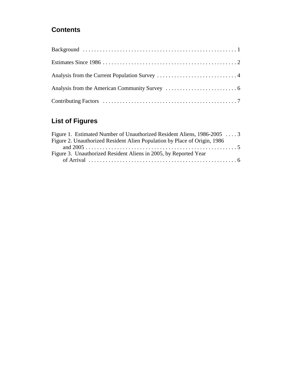## **Contents**

## **List of Figures**

| Figure 1. Estimated Number of Unauthorized Resident Aliens, 1986-2005  3  |  |
|---------------------------------------------------------------------------|--|
| Figure 2. Unauthorized Resident Alien Population by Place of Origin, 1986 |  |
|                                                                           |  |
| Figure 3. Unauthorized Resident Aliens in 2005, by Reported Year          |  |
|                                                                           |  |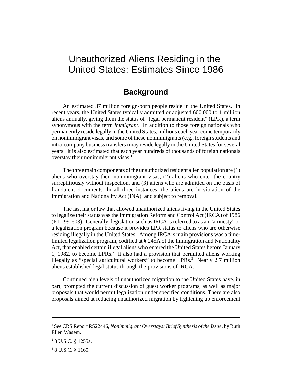## Unauthorized Aliens Residing in the United States: Estimates Since 1986

#### **Background**

An estimated 37 million foreign-born people reside in the United States. In recent years, the United States typically admitted or adjusted 600,000 to 1 million aliens annually, giving them the status of "legal permanent resident" (LPR), a term synonymous with the term *immigrant*. In addition to those foreign nationals who permanently reside legally in the United States, millions each year come temporarily on nonimmigrant visas, and some of these nonimmigrants (e.g., foreign students and intra-company business transfers) may reside legally in the United States for several years. It is also estimated that each year hundreds of thousands of foreign nationals overstay their nonimmigrant visas. $<sup>1</sup>$ </sup>

The three main components of the unauthorized resident alien population are (1) aliens who overstay their nonimmigrant visas, (2) aliens who enter the country surreptitiously without inspection, and (3) aliens who are admitted on the basis of fraudulent documents. In all three instances, the aliens are in violation of the Immigration and Nationality Act (INA) and subject to removal.

The last major law that allowed unauthorized aliens living in the United States to legalize their status was the Immigration Reform and Control Act (IRCA) of 1986 (P.L. 99-603). Generally, legislation such as IRCA is referred to as an "amnesty" or a legalization program because it provides LPR status to aliens who are otherwise residing illegally in the United States. Among IRCA's main provisions was a timelimited legalization program, codified at § 245A of the Immigration and Nationality Act, that enabled certain illegal aliens who entered the United States before January 1, 1982, to become LPRs.<sup>2</sup> It also had a provision that permitted aliens working illegally as "special agricultural workers" to become LPRs. $3$  Nearly 2.7 million aliens established legal status through the provisions of IRCA.

Continued high levels of unauthorized migration to the United States have, in part, prompted the current discussion of guest worker programs, as well as major proposals that would permit legalization under specified conditions. There are also proposals aimed at reducing unauthorized migration by tightening up enforcement

<sup>&</sup>lt;sup>1</sup> See CRS Report RS22446, *Nonimmigrant Overstays: Brief Synthesis of the Issue*, by Ruth Ellen Wasem.

<sup>2</sup> 8 U.S.C. § 1255a.

<sup>&</sup>lt;sup>3</sup> 8 U.S.C. § 1160.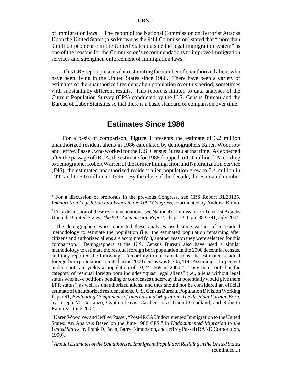of immigration laws.<sup>4</sup> The report of the National Commission on Terrorist Attacks Upon the United States (also known as the 9/11 Commission) stated that "more than 9 million people are in the United States outside the legal immigration system" as one of the reasons for the Commission's recommendations to improve immigration services and strengthen enforcement of immigration laws.<sup>5</sup>

This CRS report presents data estimating the number of unauthorized aliens who have been living in the United States since 1986. There have been a variety of estimates of the unauthorized resident alien population over this period, sometimes with substantially different results. This report is limited to data analyses of the Current Population Survey (CPS) conducted by the U.S. Census Bureau and the Bureau of Labor Statistics so that there is a basic standard of comparison over time.<sup>6</sup>

#### **Estimates Since 1986**

For a basis of comparison, **Figure 1** presents the estimate of 3.2 million unauthorized resident aliens in 1986 calculated by demographers Karen Woodrow and Jeffrey Passel, who worked for the U.S. Census Bureau at that time. As expected after the passage of IRCA, the estimate for 1988 dropped to 1.9 million.<sup>7</sup> According to demographer Robert Warren of the former Immigration and Naturalization Service (INS), the estimated unauthorized resident alien population grew to 3.4 million in 1992 and to 5.0 million in 1996.<sup>8</sup> By the close of the decade, the estimated number

<sup>4</sup> For a discussion of proposals in the previous Congress, see CRS Report RL33125, *Immigration Legislation and Issues in the 109<sup>th</sup> Congress, coordinated by Andorra Bruno.* 

<sup>&</sup>lt;sup>5</sup> For a discussion of these recommendations, see National Commission on Terrorist Attacks Upon the United States, *The 9/11 Commission Report*, chap. 12.4, pp. 383-391, July 2004.

<sup>&</sup>lt;sup>6</sup> The demographers who conducted these analyses used some variant of a residual methodology to estimate the population (i.e., the estimated population remaining after citizens and authorized aliens are accounted for), another reason they were selected for this comparison. Demographers at the U.S. Census Bureau also have used a similar methodology to estimate the residual foreign born population in the 2000 decennial census, and they reported the following: "According to our calculations, the estimated residual foreign-born population counted in the 2000 census was 8,705,419. Assuming a 15-percent undercount rate yields a population of 10,241,669 in 2000." They point out that the category of residual foreign born includes "quasi legal aliens" (i.e., aliens without legal status who have petitions pending or court cases underway that potentially would give them LPR status), as well as unauthorized aliens, and thus should not be considered an official estimate of unauthorized resident aliens. U.S. Census Bureau, Population Division Working Paper 61, *Evaluating Components of International Migration: The Residual Foreign Born*, by Joseph M. Costanzo, Cynthia Davis, Caribert Irazi, Daniel Goodkind, and Roberto Ramirez (June 2002).

<sup>&</sup>lt;sup>7</sup> Karen Woodrow and Jeffrey Passel, "Post-IRCA Undocumented Immigration to the United States: An Analysis Based on the June 1988 CPS," in *Undocumented Migration to the United States*, by Frank D. Bean, Barry Edmonston, and Jeffrey Passel (RAND Corporation, 1990).

<sup>8</sup> *Annual Estimates of the Unauthorized Immigrant Population Residing in the United States* (continued...)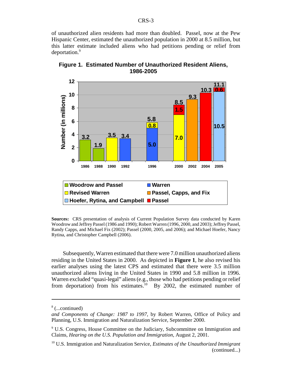of unauthorized alien residents had more than doubled. Passel, now at the Pew Hispanic Center, estimated the unauthorized population in 2000 at 8.5 million, but this latter estimate included aliens who had petitions pending or relief from deportation.<sup>9</sup>



**Figure 1. Estimated Number of Unauthorized Resident Aliens, 1986-2005**

**Sources:** CRS presentation of analysis of Current Population Survey data conducted by Karen Woodrow and Jeffrey Passel (1986 and 1990); Robert Warren (1996, 2000, and 2003); Jeffrey Passel, Randy Capps, and Michael Fix (2002); Passel (2000, 2005, and 2006); and Michael Hoefer, Nancy Rytina, and Christopher Campbell (2006).

Subsequently, Warren estimated that there were 7.0 million unauthorized aliens residing in the United States in 2000. As depicted in **Figure 1**, he also revised his earlier analyses using the latest CPS and estimated that there were 3.5 million unauthorized aliens living in the United States in 1990 and 5.8 million in 1996. Warren excluded "quasi-legal" aliens (e.g., those who had petitions pending or relief from deportation) from his estimates.<sup>10</sup> By 2002, the estimated number of

<sup>8</sup> (...continued)

*and Components of Change: 1987 to 1997*, by Robert Warren, Office of Policy and Planning, U.S. Immigration and Naturalization Service, September 2000.

<sup>&</sup>lt;sup>9</sup> U.S. Congress, House Committee on the Judiciary, Subcommittee on Immigration and Claims, *Hearing on the U.S. Population and Immigration*, August 2, 2001.

<sup>10</sup> U.S. Immigration and Naturalization Service, *Estimates of the Unauthorized Immigrant* (continued...)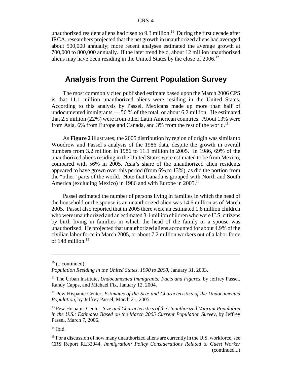unauthorized resident aliens had risen to  $9.3$  million.<sup>11</sup> During the first decade after IRCA, researchers projected that the net growth in unauthorized aliens had averaged about 500,000 annually; more recent analyses estimated the average growth at 700,000 to 800,000 annually. If the later trend held, about 12 million unauthorized aliens may have been residing in the United States by the close of  $2006$ <sup>12</sup>

#### **Analysis from the Current Population Survey**

The most commonly cited published estimate based upon the March 2006 CPS is that 11.1 million unauthorized aliens were residing in the United States. According to this analysis by Passel, Mexicans made up more than half of undocumented immigrants — 56 % of the total, or about 6.2 million. He estimated that 2.5 million (22%) were from other Latin American countries. About 13% were from Asia, 6% from Europe and Canada, and 3% from the rest of the world.<sup>13</sup>

As **Figure 2** illustrates, the 2005 distribution by region of origin was similar to Woodrow and Passel's analysis of the 1986 data, despite the growth in overall numbers from 3.2 million in 1986 to 11.1 million in 2005. In 1986, 69% of the unauthorized aliens residing in the United States were estimated to be from Mexico, compared with 56% in 2005. Asia's share of the unauthorized alien residents appeared to have grown over this period (from 6% to 13%), as did the portion from the "other" parts of the world. Note that Canada is grouped with North and South America (excluding Mexico) in 1986 and with Europe in 2005.<sup>14</sup>

Passel estimated the number of persons living in families in which the head of the household or the spouse is an unauthorized alien was 14.6 million as of March 2005. Passel also reported that in 2005 there were an estimated 1.8 million children who were unauthorized and an estimated 3.1 million children who were U.S. citizens by birth living in families in which the head of the family or a spouse was unauthorized. He projected that unauthorized aliens accounted for about 4.9% of the civilian labor force in March 2005, or about 7.2 million workers out of a labor force of 148 million.<sup>15</sup>

 $10$  (...continued)

*Population Residing in the United States, 1990 to 2000*, January 31, 2003.

<sup>11</sup> The Urban Institute, *Undocumented Immigrants: Facts and Figures*, by Jeffrey Passel, Randy Capps, and Michael Fix, January 12, 2004.

<sup>12</sup> Pew Hispanic Center, *Estimates of the Size and Characteristics of the Undocumented Population*, by Jeffrey Passel, March 21, 2005.

<sup>13</sup> Pew Hispanic Center, *Size and Characteristics of the Unauthorized Migrant Population in the U.S.: Estimates Based on the March 2005 Current Population Survey*, by Jeffrey Passel, March 7, 2006.

 $14$  Ibid.

<sup>&</sup>lt;sup>15</sup> For a discussion of how many unauthorized aliens are currently in the U.S. workforce, see CRS Report RL32044, *Immigration: Policy Considerations Related to Guest Worker* (continued...)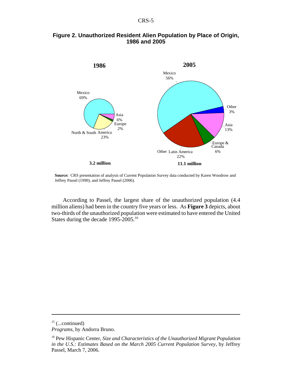

#### **Figure 2. Unauthorized Resident Alien Population by Place of Origin, 1986 and 2005**

**Source:** CRS presentation of analysis of Current Population Survey data conducted by Karen Woodrow and Jeffrey Passel (1990), and Jeffrey Passel (2006).

According to Passel, the largest share of the unauthorized population (4.4 million aliens) had been in the country five years or less. As **Figure 3** depicts, about two-thirds of the unauthorized population were estimated to have entered the United States during the decade 1995-2005.16

 $15$  (...continued)

*Programs*, by Andorra Bruno.

<sup>16</sup> Pew Hispanic Center, *Size and Characteristics of the Unauthorized Migrant Population in the U.S.: Estimates Based on the March 2005 Current Population Survey*, by Jeffrey Passel, March 7, 2006.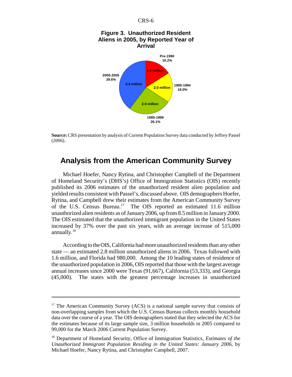



**Source:** CRS presentation by analysis of Current Population Survey data conducted by Jeffrey Passel (2006).

**26.1%**

#### **Analysis from the American Community Survey**

Michael Hoefer, Nancy Rytina, and Christopher Campbell of the Department of Homeland Security's (DHS's) Office of Immigration Statistics (OIS) recently published its 2006 estimates of the unauthorized resident alien population and yielded results consistent with Passel's, discussed above. OIS demographers Hoefer, Rytina, and Campbell drew their estimates from the American Community Survey of the U.S. Census Bureau.17 The OIS reported an estimated 11.6 million unauthorized alien residents as of January 2006, up from 8.5 million in January 2000. The OIS estimated that the unauthorized immigrant population in the United States increased by 37% over the past six years, with an average increase of 515,000 annually.18

According to the OIS, California had more unauthorized residents than any other state — an estimated 2.8 million unauthorized aliens in 2006. Texas followed with 1.6 million, and Florida had 980,000. Among the 10 leading states of residence of the unauthorized population in 2006, OIS reported that those with the largest average annual increases since 2000 were Texas (91,667), California (53,333), and Georgia (45,000). The states with the greatest percentage increases in unauthorized

 $17$  The American Community Survey (ACS) is a national sample survey that consists of non-overlapping samples from which the U.S. Census Bureau collects monthly household data over the course of a year. The OIS demographers stated that they selected the ACS for the estimates because of its large sample size, 3 million households in 2005 compared to 99,000 for the March 2006 Current Population Survey.

<sup>18</sup> Department of Homeland Security, Office of Immigration Statistics, *Estimates of the Unauthorized Immigrant Population Residing in the United States: January 2006*, by Michael Hoefer, Nancy Rytina, and Christopher Campbell, 2007.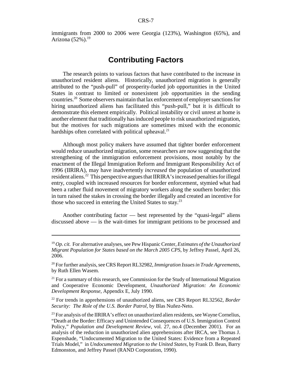immigrants from 2000 to 2006 were Georgia (123%), Washington (65%), and Arizona  $(52\%)$ .<sup>19</sup>

#### **Contributing Factors**

The research points to various factors that have contributed to the increase in unauthorized resident aliens. Historically, unauthorized migration is generally attributed to the "push-pull" of prosperity-fueled job opportunities in the United States in contrast to limited or nonexistent job opportunities in the sending countries.20 Some observers maintain that lax enforcement of employer sanctions for hiring unauthorized aliens has facilitated this "push-pull," but it is difficult to demonstrate this element empirically. Political instability or civil unrest at home is another element that traditionally has induced people to risk unauthorized migration, but the motives for such migrations are sometimes mixed with the economic hardships often correlated with political upheaval.<sup>21</sup>

Although most policy makers have assumed that tighter border enforcement would reduce unauthorized migration, some researchers are now suggesting that the strengthening of the immigration enforcement provisions, most notably by the enactment of the Illegal Immigration Reform and Immigrant Responsibility Act of 1996 (IIRIRA), may have inadvertently *increased* the population of unauthorized resident aliens.22 This perspective argues that IIRIRA's increased penalties for illegal entry, coupled with increased resources for border enforcement, stymied what had been a rather fluid movement of migratory workers along the southern border; this in turn raised the stakes in crossing the border illegally and created an incentive for those who succeed in entering the United States to stay.23

Another contributing factor — best represented by the "quasi-legal" aliens discussed above — is the wait-times for immigrant petitions to be processed and

<sup>19</sup> *Op. cit.* For alternative analyses, see Pew Hispanic Center, *Estimates of the Unauthorized Migrant Population for States based on the March 2005 CPS*, by Jeffrey Passel, April 26, 2006.

<sup>20</sup> For further analysis, see CRS Report RL32982, *Immigration Issues in Trade Agreements*, by Ruth Ellen Wasem.

<sup>&</sup>lt;sup>21</sup> For a summary of this research, see Commission for the Study of International Migration and Cooperative Economic Development, *Unauthorized Migration: An Economic Development Response*, Appendix E, July 1990.

<sup>22</sup> For trends in apprehensions of unauthorized aliens, see CRS Report RL32562, *Border Security: The Role of the U.S. Border Patrol*, by Blas Nuñez-Neto.

 $^{23}$  For analysis of the IIRIRA's effect on unauthorized alien residents, see Wayne Cornelius, "Death at the Border: Efficacy and Unintended Consequences of U.S. Immigration Control Policy," *Population and Development Review*, vol. 27, no.4 (December 2001). For an analysis of the reduction in unauthorized alien apprehensions after IRCA, see Thomas J. Espenshade, "Undocumented Migration to the United States: Evidence from a Repeated Trials Model," in *Undocumented Migration to the United States*, by Frank D. Bean, Barry Edmonston, and Jeffrey Passel (RAND Corporation, 1990).